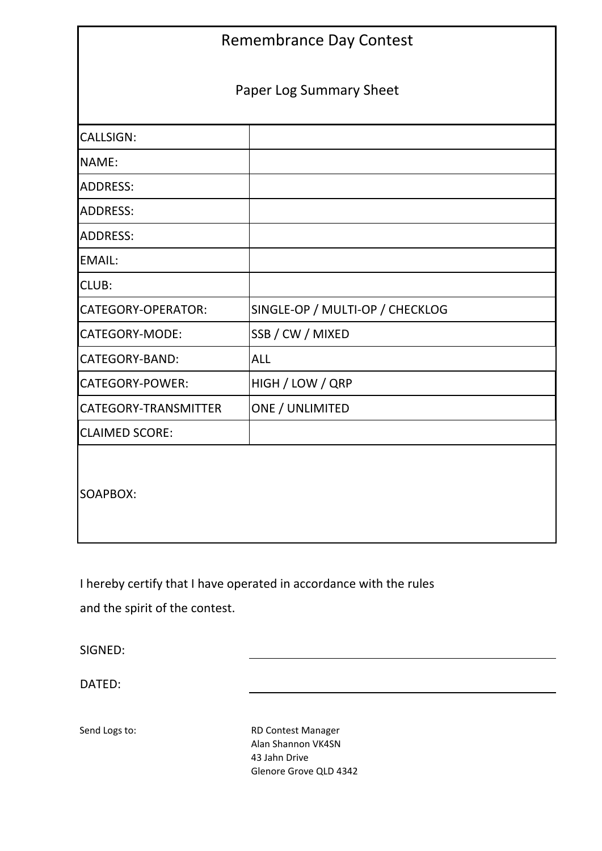| <b>Remembrance Day Contest</b> |                                 |  |  |  |  |  |  |
|--------------------------------|---------------------------------|--|--|--|--|--|--|
| <b>Paper Log Summary Sheet</b> |                                 |  |  |  |  |  |  |
| <b>CALLSIGN:</b>               |                                 |  |  |  |  |  |  |
| NAME:                          |                                 |  |  |  |  |  |  |
| <b>ADDRESS:</b>                |                                 |  |  |  |  |  |  |
| <b>ADDRESS:</b>                |                                 |  |  |  |  |  |  |
| <b>ADDRESS:</b>                |                                 |  |  |  |  |  |  |
| <b>EMAIL:</b>                  |                                 |  |  |  |  |  |  |
| <b>CLUB:</b>                   |                                 |  |  |  |  |  |  |
| CATEGORY-OPERATOR:             | SINGLE-OP / MULTI-OP / CHECKLOG |  |  |  |  |  |  |
| CATEGORY-MODE:                 | SSB / CW / MIXED                |  |  |  |  |  |  |
| <b>CATEGORY-BAND:</b>          | <b>ALL</b>                      |  |  |  |  |  |  |
| CATEGORY-POWER:                | HIGH / LOW / QRP                |  |  |  |  |  |  |
| CATEGORY-TRANSMITTER           | ONE / UNLIMITED                 |  |  |  |  |  |  |
| <b>CLAIMED SCORE:</b>          |                                 |  |  |  |  |  |  |
| SOAPBOX:                       |                                 |  |  |  |  |  |  |

I hereby certify that I have operated in accordance with the rules and the spirit of the contest.

SIGNED:

DATED:

Send Logs to: RD Contest Manager Alan Shannon VK4SN 43 Jahn Drive Glenore Grove QLD 4342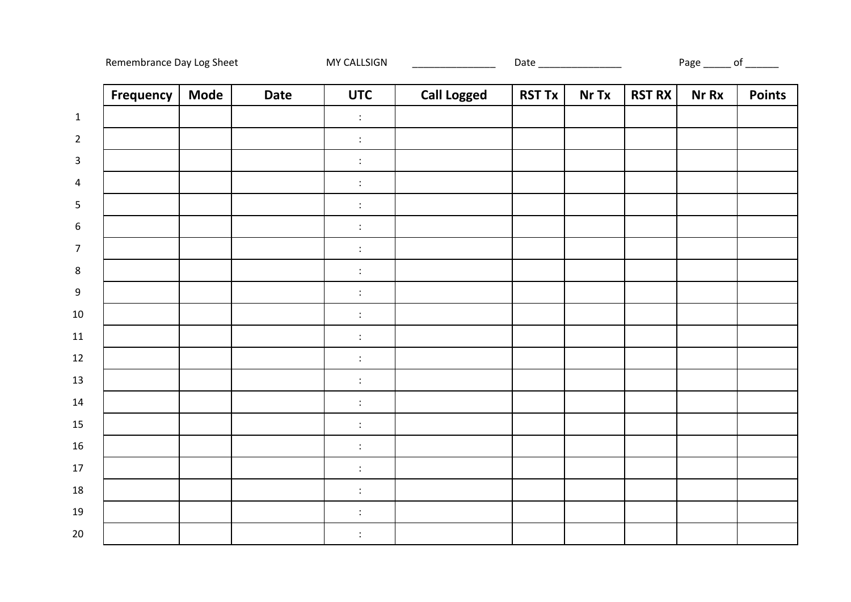| Remembrance Day Log Sheet |             |             | MY CALLSIGN                          |                    |               | Date __________________ |               | Page _______ of _______ |               |
|---------------------------|-------------|-------------|--------------------------------------|--------------------|---------------|-------------------------|---------------|-------------------------|---------------|
| <b>Frequency</b>          | <b>Mode</b> | <b>Date</b> | <b>UTC</b>                           | <b>Call Logged</b> | <b>RST Tx</b> | Nr Tx                   | <b>RST RX</b> | <b>Nr Rx</b>            | <b>Points</b> |
|                           |             |             | $\ddot{\cdot}$                       |                    |               |                         |               |                         |               |
|                           |             |             | $\ddot{\ddot{\phantom{}}\phantom{}}$ |                    |               |                         |               |                         |               |
|                           |             |             | $\ddot{\cdot}$                       |                    |               |                         |               |                         |               |
|                           |             |             | $\ddot{\cdot}$                       |                    |               |                         |               |                         |               |
|                           |             |             | $\ddot{\cdot}$                       |                    |               |                         |               |                         |               |
|                           |             |             | $\ddot{\ddot{\phantom{}}\phantom{}}$ |                    |               |                         |               |                         |               |
|                           |             |             | $\ddot{\ddot{\phantom{}}\phantom{}}$ |                    |               |                         |               |                         |               |
|                           |             |             | $\ddot{\cdot}$                       |                    |               |                         |               |                         |               |
|                           |             |             | $\div$                               |                    |               |                         |               |                         |               |
|                           |             |             | $\ddot{\cdot}$                       |                    |               |                         |               |                         |               |
|                           |             |             | $\ddot{\cdot}$                       |                    |               |                         |               |                         |               |
|                           |             |             | $\ddot{\cdot}$                       |                    |               |                         |               |                         |               |
|                           |             |             | $\ddot{\cdot}$                       |                    |               |                         |               |                         |               |
|                           |             |             | $\ddot{\cdot}$                       |                    |               |                         |               |                         |               |
|                           |             |             | $\ddot{\ddot{\phantom{}}\phantom{}}$ |                    |               |                         |               |                         |               |
|                           |             |             | $\ddot{\cdot}$                       |                    |               |                         |               |                         |               |
|                           |             |             | $\ddot{\cdot}$                       |                    |               |                         |               |                         |               |
|                           |             |             | $\ddot{\ddot{}}$                     |                    |               |                         |               |                         |               |
|                           |             |             | $\ddot{\cdot}$                       |                    |               |                         |               |                         |               |
|                           |             |             | $\ddot{\cdot}$                       |                    |               |                         |               |                         |               |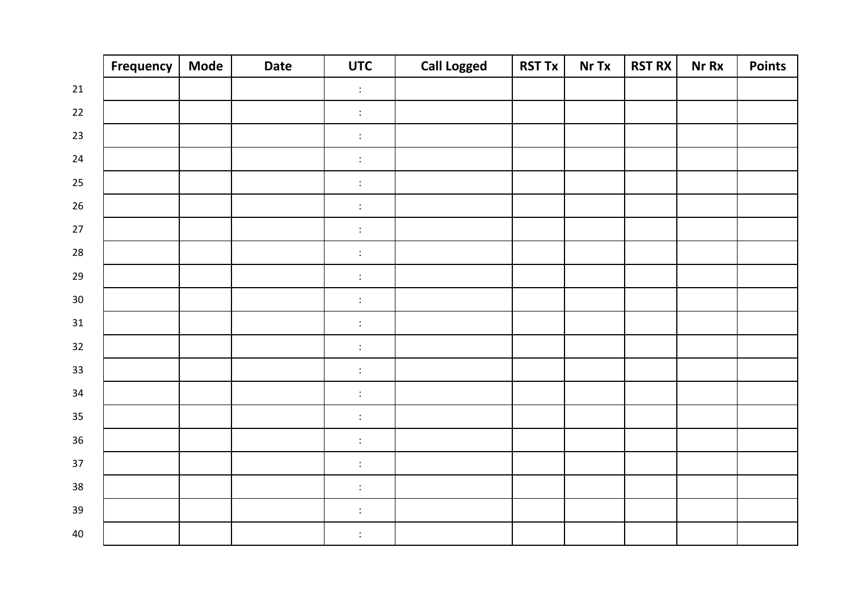|        | Frequency | <b>Mode</b> | <b>Date</b> | <b>UTC</b>                           | <b>Call Logged</b> | <b>RST Tx</b> | Nr Tx | <b>RST RX</b> | <b>Nr Rx</b> | <b>Points</b> |
|--------|-----------|-------------|-------------|--------------------------------------|--------------------|---------------|-------|---------------|--------------|---------------|
| 21     |           |             |             | $\ddot{\cdot}$                       |                    |               |       |               |              |               |
| 22     |           |             |             | $\ddot{\ddot{\phantom{}}\phantom{}}$ |                    |               |       |               |              |               |
| 23     |           |             |             | $\ddot{\cdot}$                       |                    |               |       |               |              |               |
| 24     |           |             |             | $\ddot{\ddot{\phantom{}}\phantom{}}$ |                    |               |       |               |              |               |
| 25     |           |             |             | $\ddot{\cdot}$                       |                    |               |       |               |              |               |
| 26     |           |             |             | $\ddot{\cdot}$                       |                    |               |       |               |              |               |
| 27     |           |             |             | $\ddot{\cdot}$                       |                    |               |       |               |              |               |
| 28     |           |             |             | $\ddot{\cdot}$                       |                    |               |       |               |              |               |
| 29     |           |             |             | $\ddot{\cdot}$                       |                    |               |       |               |              |               |
| $30\,$ |           |             |             | $\ddot{\cdot}$                       |                    |               |       |               |              |               |
| 31     |           |             |             | $\ddot{\Sigma}$                      |                    |               |       |               |              |               |
| 32     |           |             |             | $\ddot{\cdot}$                       |                    |               |       |               |              |               |
| 33     |           |             |             | $\ddot{\cdot}$                       |                    |               |       |               |              |               |
| 34     |           |             |             | $\ddot{\cdot}$                       |                    |               |       |               |              |               |
| 35     |           |             |             | $\ddot{\cdot}$                       |                    |               |       |               |              |               |
| 36     |           |             |             | $\ddot{\cdot}$                       |                    |               |       |               |              |               |
| 37     |           |             |             | $\ddot{\ddot{\phantom{}}\phantom{}}$ |                    |               |       |               |              |               |
| 38     |           |             |             | $\ddot{\cdot}$                       |                    |               |       |               |              |               |
| 39     |           |             |             | $\ddot{\cdot}$                       |                    |               |       |               |              |               |
| 40     |           |             |             | $\ddot{\cdot}$                       |                    |               |       |               |              |               |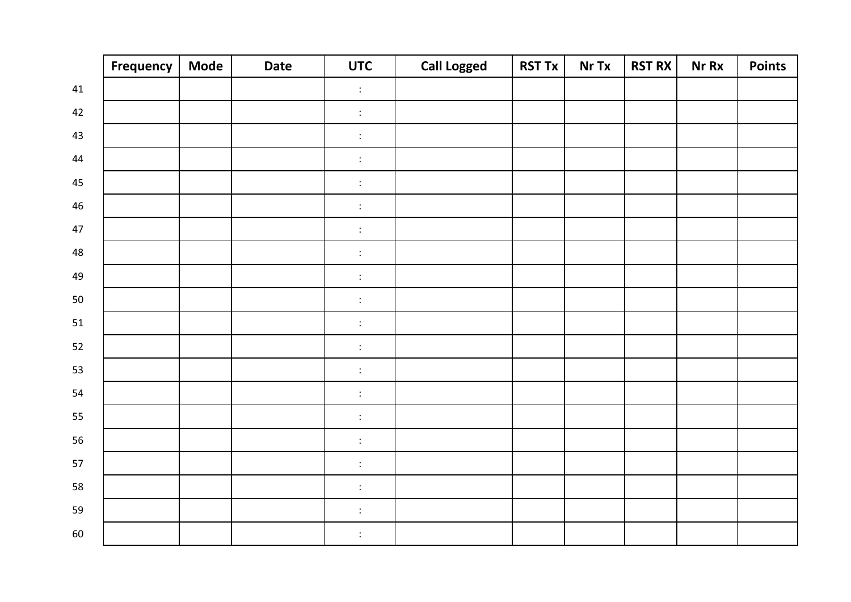|    | Frequency | <b>Mode</b> | <b>Date</b> | <b>UTC</b>                           | <b>Call Logged</b> | <b>RST Tx</b> | Nr Tx | <b>RST RX</b> | <b>Nr Rx</b> | <b>Points</b> |
|----|-----------|-------------|-------------|--------------------------------------|--------------------|---------------|-------|---------------|--------------|---------------|
| 41 |           |             |             | $\ddot{\cdot}$                       |                    |               |       |               |              |               |
| 42 |           |             |             | $\ddot{\ddot{\phantom{}}\phantom{}}$ |                    |               |       |               |              |               |
| 43 |           |             |             | $\ddot{\cdot}$                       |                    |               |       |               |              |               |
| 44 |           |             |             | $\ddot{\ddot{\phantom{}}\phantom{}}$ |                    |               |       |               |              |               |
| 45 |           |             |             | $\ddot{\cdot}$                       |                    |               |       |               |              |               |
| 46 |           |             |             | $\ddot{\cdot}$                       |                    |               |       |               |              |               |
| 47 |           |             |             | $\ddot{\cdot}$                       |                    |               |       |               |              |               |
| 48 |           |             |             | $\ddot{\cdot}$                       |                    |               |       |               |              |               |
| 49 |           |             |             | $\ddot{\cdot}$                       |                    |               |       |               |              |               |
| 50 |           |             |             | $\ddot{\cdot}$                       |                    |               |       |               |              |               |
| 51 |           |             |             | $\ddot{\cdot}$                       |                    |               |       |               |              |               |
| 52 |           |             |             | $\ddot{\cdot}$                       |                    |               |       |               |              |               |
| 53 |           |             |             | $\ddot{\cdot}$                       |                    |               |       |               |              |               |
| 54 |           |             |             | $\ddot{\cdot}$                       |                    |               |       |               |              |               |
| 55 |           |             |             | $\ddot{\cdot}$                       |                    |               |       |               |              |               |
| 56 |           |             |             | $\ddot{\cdot}$                       |                    |               |       |               |              |               |
| 57 |           |             |             | $\ddot{\ddot{\phantom{}}\phantom{}}$ |                    |               |       |               |              |               |
| 58 |           |             |             | $\ddot{\cdot}$                       |                    |               |       |               |              |               |
| 59 |           |             |             | $\ddot{\cdot}$                       |                    |               |       |               |              |               |
| 60 |           |             |             | $\ddot{\cdot}$                       |                    |               |       |               |              |               |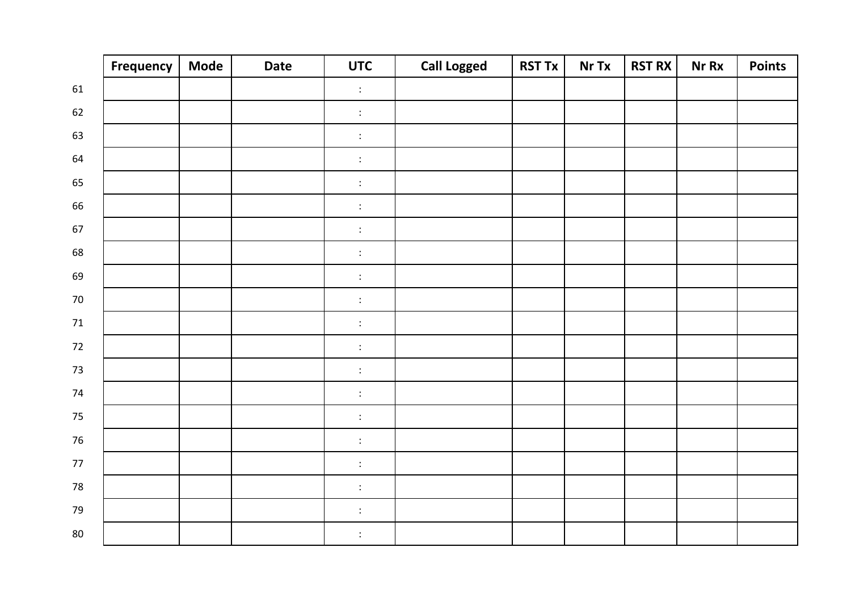|      | Frequency | <b>Mode</b> | <b>Date</b> | <b>UTC</b>                           | <b>Call Logged</b> | <b>RST Tx</b> | Nr Tx | <b>RST RX</b> | <b>Nr Rx</b> | <b>Points</b> |
|------|-----------|-------------|-------------|--------------------------------------|--------------------|---------------|-------|---------------|--------------|---------------|
| 61   |           |             |             | $\ddot{\cdot}$                       |                    |               |       |               |              |               |
| 62   |           |             |             | $\div$                               |                    |               |       |               |              |               |
| 63   |           |             |             | $\ddot{\cdot}$                       |                    |               |       |               |              |               |
| 64   |           |             |             | $\ddot{\ddot{\phantom{}}\phantom{}}$ |                    |               |       |               |              |               |
| 65   |           |             |             | $\ddot{\cdot}$                       |                    |               |       |               |              |               |
| 66   |           |             |             | $\ddot{\cdot}$                       |                    |               |       |               |              |               |
| 67   |           |             |             | $\ddot{\cdot}$                       |                    |               |       |               |              |               |
| 68   |           |             |             | $\ddot{\cdot}$                       |                    |               |       |               |              |               |
| 69   |           |             |             | $\ddot{\cdot}$                       |                    |               |       |               |              |               |
| 70   |           |             |             | $\ddot{\cdot}$                       |                    |               |       |               |              |               |
| $71$ |           |             |             | $\ddot{\cdot}$                       |                    |               |       |               |              |               |
| 72   |           |             |             | $\ddot{\phantom{a}}$                 |                    |               |       |               |              |               |
| 73   |           |             |             | $\ddot{\cdot}$                       |                    |               |       |               |              |               |
| 74   |           |             |             | $\ddot{\cdot}$                       |                    |               |       |               |              |               |
| 75   |           |             |             | $\ddot{\cdot}$                       |                    |               |       |               |              |               |
| 76   |           |             |             | $\ddot{\cdot}$                       |                    |               |       |               |              |               |
| 77   |           |             |             | $\ddot{\ddot{\phantom{}}\phantom{}}$ |                    |               |       |               |              |               |
| 78   |           |             |             | $\ddot{\cdot}$                       |                    |               |       |               |              |               |
| 79   |           |             |             | $\ddot{\cdot}$                       |                    |               |       |               |              |               |
| 80   |           |             |             | $\ddot{\cdot}$                       |                    |               |       |               |              |               |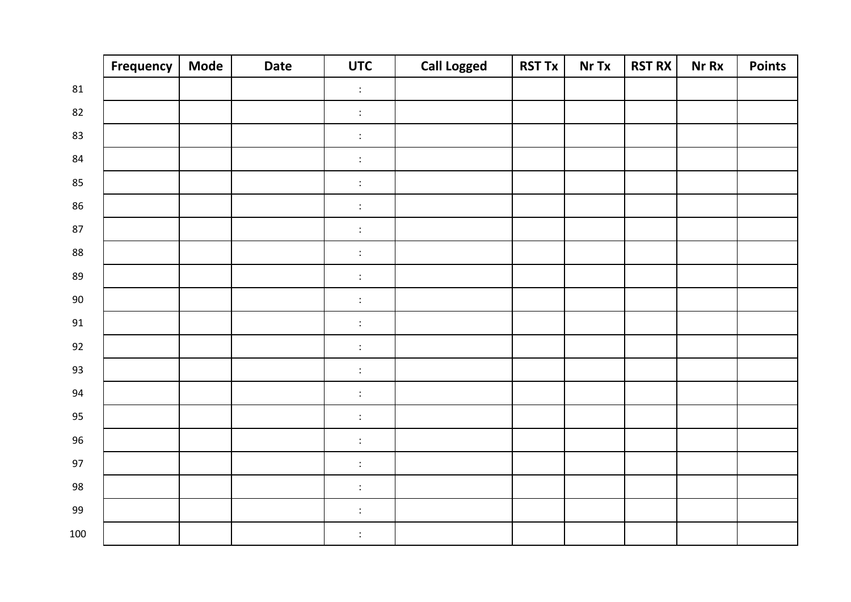|     | <b>Frequency</b> | <b>Mode</b> | <b>Date</b> | <b>UTC</b>       | <b>Call Logged</b> | <b>RST Tx</b> | Nr Tx | <b>RST RX</b> | <b>Nr Rx</b> | <b>Points</b> |
|-----|------------------|-------------|-------------|------------------|--------------------|---------------|-------|---------------|--------------|---------------|
| 81  |                  |             |             | $\ddot{\cdot}$   |                    |               |       |               |              |               |
| 82  |                  |             |             | $\ddot{\ddot{}}$ |                    |               |       |               |              |               |
| 83  |                  |             |             | $\ddot{\cdot}$   |                    |               |       |               |              |               |
| 84  |                  |             |             | $\ddot{\cdot}$   |                    |               |       |               |              |               |
| 85  |                  |             |             | $\ddot{\cdot}$   |                    |               |       |               |              |               |
| 86  |                  |             |             | $\ddot{\ddot{}}$ |                    |               |       |               |              |               |
| 87  |                  |             |             | $\ddot{\cdot}$   |                    |               |       |               |              |               |
| 88  |                  |             |             | $\ddot{\cdot}$   |                    |               |       |               |              |               |
| 89  |                  |             |             | $\ddot{\cdot}$   |                    |               |       |               |              |               |
| 90  |                  |             |             | $\ddot{\cdot}$   |                    |               |       |               |              |               |
| 91  |                  |             |             | $\ddot{\cdot}$   |                    |               |       |               |              |               |
| 92  |                  |             |             | $\ddot{\cdot}$   |                    |               |       |               |              |               |
| 93  |                  |             |             | $\ddot{\cdot}$   |                    |               |       |               |              |               |
| 94  |                  |             |             | $\ddot{\cdot}$   |                    |               |       |               |              |               |
| 95  |                  |             |             | $\ddot{\cdot}$   |                    |               |       |               |              |               |
| 96  |                  |             |             | $\ddot{\ddot{}}$ |                    |               |       |               |              |               |
| 97  |                  |             |             | $\ddot{\cdot}$   |                    |               |       |               |              |               |
| 98  |                  |             |             | $\ddot{\cdot}$   |                    |               |       |               |              |               |
| 99  |                  |             |             | $\ddot{\cdot}$   |                    |               |       |               |              |               |
| 100 |                  |             |             | $\ddot{\cdot}$   |                    |               |       |               |              |               |